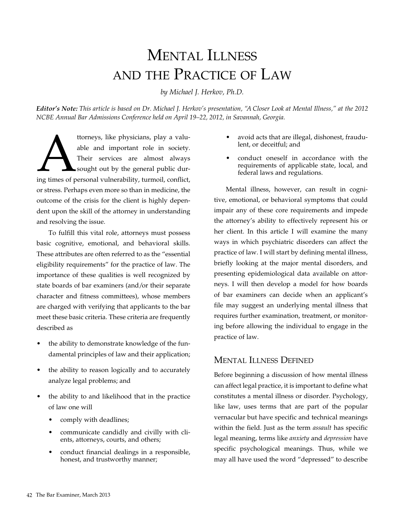# Mental Illness and the Practice of Law

*by Michael J. Herkov, Ph.D.*

*Editor's Note: This article is based on Dr. Michael J. Herkov's presentation, "A Closer Look at Mental Illness," at the 2012 NCBE Annual Bar Admissions Conference held on April 19–22, 2012, in Savannah, Georgia.*

ttorneys, like physicians, play a valuable and important role in society.<br>Their services are almost always sought out by the general public during times of personal vulnerability, turmoil, conflict, able and important role in society. Their services are almost always sought out by the general public duror stress. Perhaps even more so than in medicine, the outcome of the crisis for the client is highly dependent upon the skill of the attorney in understanding and resolving the issue.

To fulfill this vital role, attorneys must possess basic cognitive, emotional, and behavioral skills. These attributes are often referred to as the "essential eligibility requirements" for the practice of law. The importance of these qualities is well recognized by state boards of bar examiners (and/or their separate character and fitness committees), whose members are charged with verifying that applicants to the bar meet these basic criteria. These criteria are frequently described as

- the ability to demonstrate knowledge of the fundamental principles of law and their application;
- the ability to reason logically and to accurately analyze legal problems; and
- the ability to and likelihood that in the practice of law one will
	- comply with deadlines;
	- communicate candidly and civilly with clients, attorneys, courts, and others;
	- conduct financial dealings in a responsible, honest, and trustworthy manner;
- avoid acts that are illegal, dishonest, fraudulent, or deceitful; and
- conduct oneself in accordance with the requirements of applicable state, local, and federal laws and regulations.

Mental illness, however, can result in cognitive, emotional, or behavioral symptoms that could impair any of these core requirements and impede the attorney's ability to effectively represent his or her client. In this article I will examine the many ways in which psychiatric disorders can affect the practice of law. I will start by defining mental illness, briefly looking at the major mental disorders, and presenting epidemiological data available on attorneys. I will then develop a model for how boards of bar examiners can decide when an applicant's file may suggest an underlying mental illness that requires further examination, treatment, or monitoring before allowing the individual to engage in the practice of law.

# Mental Illness Defined

Before beginning a discussion of how mental illness can affect legal practice, it is important to define what constitutes a mental illness or disorder. Psychology, like law, uses terms that are part of the popular vernacular but have specific and technical meanings within the field. Just as the term *assault* has specific legal meaning, terms like *anxiety* and *depression* have specific psychological meanings. Thus, while we may all have used the word "depressed" to describe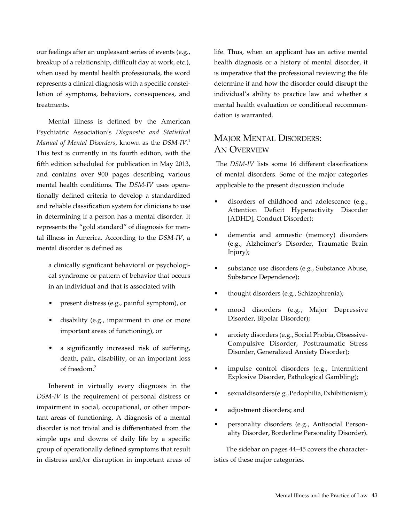our feelings after an unpleasant series of events (e.g., breakup of a relationship, difficult day at work, etc.), when used by mental health professionals, the word represents a clinical diagnosis with a specific constellation of symptoms, behaviors, consequences, and treatments.

Mental illness is defined by the American Psychiatric Association's *Diagnostic and Statistical Manual of Mental Disorders*, known as the *DSM-IV.*<sup>1</sup> This text is currently in its fourth edition, with the fifth edition scheduled for publication in May 2013, and contains over 900 pages describing various mental health conditions. The *DSM-IV* uses operationally defined criteria to develop a standardized and reliable classification system for clinicians to use in determining if a person has a mental disorder. It represents the "gold standard" of diagnosis for mental illness in America. According to the *DSM-IV*, a mental disorder is defined as

a clinically significant behavioral or psychological syndrome or pattern of behavior that occurs in an individual and that is associated with

- present distress (e.g., painful symptom), or
- disability (e.g., impairment in one or more important areas of functioning), or
- • a significantly increased risk of suffering, death, pain, disability, or an important loss of freedom.2

Inherent in virtually every diagnosis in the *DSM-IV* is the requirement of personal distress or impairment in social, occupational, or other important areas of functioning. A diagnosis of a mental disorder is not trivial and is differentiated from the simple ups and downs of daily life by a specific group of operationally defined symptoms that result in distress and/or disruption in important areas of

life. Thus, when an applicant has an active mental health diagnosis or a history of mental disorder, it is imperative that the professional reviewing the file determine if and how the disorder could disrupt the individual's ability to practice law and whether a mental health evaluation or conditional recommendation is warranted.

# MAJOR MENTAL DISORDERS: AN OVERVIEW

The *DSM-IV* lists some 16 different classifications of mental disorders. Some of the major categories applicable to the present discussion include

- disorders of childhood and adolescence (e.g., Attention Deficit Hyperactivity Disorder [ADHD], Conduct Disorder);
- dementia and amnestic (memory) disorders (e.g., Alzheimer's Disorder, Traumatic Brain Injury);
- substance use disorders (e.g., Substance Abuse, Substance Dependence);
- thought disorders (e.g., Schizophrenia);
- mood disorders (e.g., Major Depressive Disorder, Bipolar Disorder);
- anxiety disorders (e.g., Social Phobia, Obsessive-Compulsive Disorder, Posttraumatic Stress Disorder, Generalized Anxiety Disorder);
- impulse control disorders (e.g., Intermittent Explosive Disorder, Pathological Gambling);
- sexual disorders (e.g., Pedophilia, Exhibitionism);
- adjustment disorders; and
- personality disorders (e.g., Antisocial Personality Disorder, Borderline Personality Disorder).

The sidebar on pages 44–45 covers the characteristics of these major categories.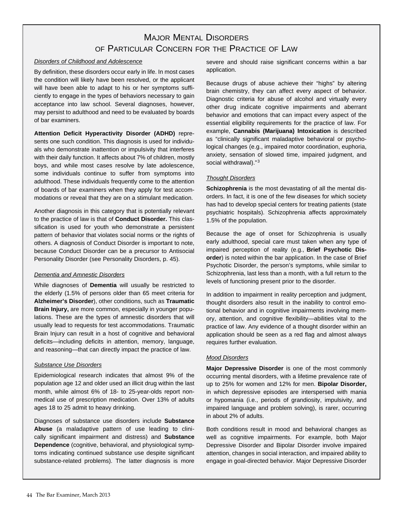# MAJOR MENTAL DISORdERS OF PARTICULAR CONCERN FOR THE PRACTICE OF LAW

### Disorders of Childhood and Adolescence

By definition, these disorders occur early in life. In most cases the condition will likely have been resolved, or the applicant will have been able to adapt to his or her symptoms sufficiently to engage in the types of behaviors necessary to gain acceptance into law school. Several diagnoses, however, may persist to adulthood and need to be evaluated by boards of bar examiners.

**Attention Deficit Hyperactivity Disorder (ADHD)** represents one such condition. This diagnosis is used for individuals who demonstrate inattention or impulsivity that interferes with their daily function. It affects about 7% of children, mostly boys, and while most cases resolve by late adolescence, some individuals continue to suffer from symptoms into adulthood. These individuals frequently come to the attention of boards of bar examiners when they apply for test accommodations or reveal that they are on a stimulant medication.

Another diagnosis in this category that is potentially relevant to the practice of law is that of **Conduct Disorder.** This classification is used for youth who demonstrate a persistent pattern of behavior that violates social norms or the rights of others. A diagnosis of Conduct Disorder is important to note, because Conduct Disorder can be a precursor to Antisocial Personality Disorder (see Personality Disorders, p. 45).

### Dementia and Amnestic Disorders

While diagnoses of **Dementia** will usually be restricted to the elderly (1.5% of persons older than 65 meet criteria for **Alzheimer's Disorder**), other conditions, such as **Traumatic Brain Injury,** are more common, especially in younger populations. These are the types of amnestic disorders that will usually lead to requests for test accommodations. Traumatic Brain Injury can result in a host of cognitive and behavioral deficits—including deficits in attention, memory, language, and reasoning—that can directly impact the practice of law.

### Substance Use Disorders

Epidemiological research indicates that almost 9% of the population age 12 and older used an illicit drug within the last month, while almost 6% of 18- to 25-year-olds report nonmedical use of prescription medication. Over 13% of adults ages 18 to 25 admit to heavy drinking.

Diagnoses of substance use disorders include **Substance Abuse** (a maladaptive pattern of use leading to clinically significant impairment and distress) and **Substance Dependence** (cognitive, behavioral, and physiological symptoms indicating continued substance use despite significant substance-related problems). The latter diagnosis is more

severe and should raise significant concerns within a bar application.

Because drugs of abuse achieve their "highs" by altering brain chemistry, they can affect every aspect of behavior. Diagnostic criteria for abuse of alcohol and virtually every other drug indicate cognitive impairments and aberrant behavior and emotions that can impact every aspect of the essential eligibility requirements for the practice of law. For example, **Cannabis (Marijuana) Intoxication** is described as "clinically significant maladaptive behavioral or psychological changes (e.g., impaired motor coordination, euphoria, anxiety, sensation of slowed time, impaired judgment, and social withdrawal)."<sup>3</sup>

### **Thought Disorders**

**Schizophrenia** is the most devastating of all the mental disorders. In fact, it is one of the few diseases for which society has had to develop special centers for treating patients (state psychiatric hospitals). Schizophrenia affects approximately 1.5% of the population.

Because the age of onset for Schizophrenia is usually early adulthood, special care must taken when any type of impaired perception of reality (e.g., **Brief Psychotic Disorder**) is noted within the bar application. In the case of Brief Psychotic Disorder, the person's symptoms, while similar to Schizophrenia, last less than a month, with a full return to the levels of functioning present prior to the disorder.

In addition to impairment in reality perception and judgment, thought disorders also result in the inability to control emotional behavior and in cognitive impairments involving memory, attention, and cognitive flexibility—abilities vital to the practice of law. Any evidence of a thought disorder within an application should be seen as a red flag and almost always requires further evaluation.

### Mood Disorders

**Major Depressive Disorder** is one of the most commonly occurring mental disorders, with a lifetime prevalence rate of up to 25% for women and 12% for men. **Bipolar Disorder,**  in which depressive episodes are interspersed with mania or hypomania (i.e., periods of grandiosity, impulsivity, and impaired language and problem solving), is rarer, occurring in about 2% of adults.

Both conditions result in mood and behavioral changes as well as cognitive impairments. For example, both Major Depressive Disorder and Bipolar Disorder involve impaired attention, changes in social interaction, and impaired ability to engage in goal-directed behavior. Major Depressive Disorder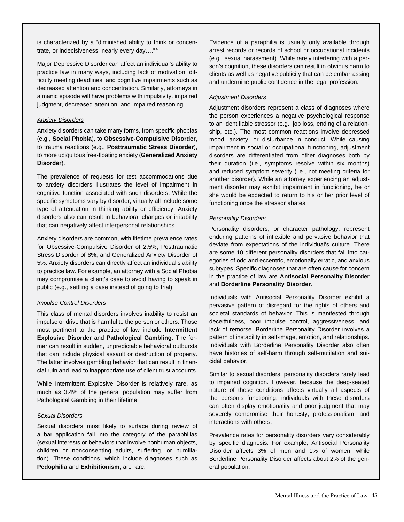is characterized by a "diminished ability to think or concentrate, or indecisiveness, nearly every day…." 4

Major Depressive Disorder can affect an individual's ability to practice law in many ways, including lack of motivation, difficulty meeting deadlines, and cognitive impairments such as decreased attention and concentration. Similarly, attorneys in a manic episode will have problems with impulsivity, impaired judgment, decreased attention, and impaired reasoning.

### Anxiety Disorders

Anxiety disorders can take many forms, from specific phobias (e.g., **Social Phobia**), to **Obsessive-Compulsive Disorder,**  to trauma reactions (e.g., **Posttraumatic Stress Disorder**), to more ubiquitous free-floating anxiety (**Generalized Anxiety Disorder**).

The prevalence of requests for test accommodations due to anxiety disorders illustrates the level of impairment in cognitive function associated with such disorders. While the specific symptoms vary by disorder, virtually all include some type of attenuation in thinking ability or efficiency. Anxiety disorders also can result in behavioral changes or irritability that can negatively affect interpersonal relationships.

Anxiety disorders are common, with lifetime prevalence rates for Obsessive-Compulsive Disorder of 2.5%, Posttraumatic Stress Disorder of 8%, and Generalized Anxiety Disorder of 5%. Anxiety disorders can directly affect an individual's ability to practice law. For example, an attorney with a Social Phobia may compromise a client's case to avoid having to speak in public (e.g., settling a case instead of going to trial).

### Impulse Control Disorders

This class of mental disorders involves inability to resist an impulse or drive that is harmful to the person or others. Those most pertinent to the practice of law include **Intermittent Explosive Disorder** and **Pathological Gambling**. The former can result in sudden, unpredictable behavioral outbursts that can include physical assault or destruction of property. The latter involves gambling behavior that can result in financial ruin and lead to inappropriate use of client trust accounts.

While Intermittent Explosive Disorder is relatively rare, as much as 3.4% of the general population may suffer from Pathological Gambling in their lifetime.

#### Sexual Disorders

Sexual disorders most likely to surface during review of a bar application fall into the category of the paraphilias (sexual interests or behaviors that involve nonhuman objects, children or nonconsenting adults, suffering, or humiliation). These conditions, which include diagnoses such as **Pedophilia** and **Exhibitionism,** are rare.

Evidence of a paraphilia is usually only available through arrest records or records of school or occupational incidents (e.g., sexual harassment). While rarely interfering with a person's cognition, these disorders can result in obvious harm to clients as well as negative publicity that can be embarrassing and undermine public confidence in the legal profession.

#### Adjustment Disorders

Adjustment disorders represent a class of diagnoses where the person experiences a negative psychological response to an identifiable stressor (e.g., job loss, ending of a relationship, etc.). The most common reactions involve depressed mood, anxiety, or disturbance in conduct. While causing impairment in social or occupational functioning, adjustment disorders are differentiated from other diagnoses both by their duration (i.e., symptoms resolve within six months) and reduced symptom severity (i.e., not meeting criteria for another disorder). While an attorney experiencing an adjustment disorder may exhibit impairment in functioning, he or she would be expected to return to his or her prior level of functioning once the stressor abates.

#### Personality Disorders

Personality disorders, or character pathology, represent enduring patterns of inflexible and pervasive behavior that deviate from expectations of the individual's culture. There are some 10 different personality disorders that fall into categories of odd and eccentric, emotionally erratic, and anxious subtypes. Specific diagnoses that are often cause for concern in the practice of law are **Antisocial Personality Disorder** and **Borderline Personality Disorder**.

Individuals with Antisocial Personality Disorder exhibit a pervasive pattern of disregard for the rights of others and societal standards of behavior. This is manifested through deceitfulness, poor impulse control, aggressiveness, and lack of remorse. Borderline Personality Disorder involves a pattern of instability in self-image, emotion, and relationships. Individuals with Borderline Personality Disorder also often have histories of self-harm through self-mutilation and suicidal behavior.

Similar to sexual disorders, personality disorders rarely lead to impaired cognition. However, because the deep-seated nature of these conditions affects virtually all aspects of the person's functioning, individuals with these disorders can often display emotionality and poor judgment that may severely compromise their honesty, professionalism, and interactions with others.

Prevalence rates for personality disorders vary considerably by specific diagnosis. For example, Antisocial Personality Disorder affects 3% of men and 1% of women, while Borderline Personality Disorder affects about 2% of the general population.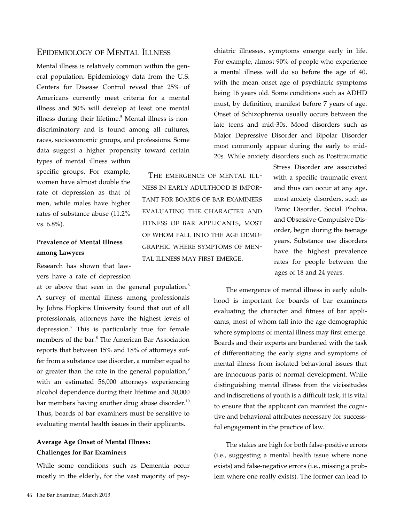# Epidemiology of Mental Illness

Mental illness is relatively common within the general population. Epidemiology data from the U.S. Centers for Disease Control reveal that 25% of Americans currently meet criteria for a mental illness and 50% will develop at least one mental illness during their lifetime.<sup>5</sup> Mental illness is nondiscriminatory and is found among all cultures, races, socioeconomic groups, and professions. Some data suggest a higher propensity toward certain types of mental illness within

specific groups. For example, women have almost double the rate of depression as that of men, while males have higher rates of substance abuse (11.2% vs. 6.8%).

# **Prevalence of Mental Illness among Lawyers**

Research has shown that lawyers have a rate of depression

at or above that seen in the general population. $6$ A survey of mental illness among professionals by Johns Hopkins University found that out of all professionals, attorneys have the highest levels of depression.<sup>7</sup> This is particularly true for female members of the bar.<sup>8</sup> The American Bar Association reports that between 15% and 18% of attorneys suffer from a substance use disorder, a number equal to or greater than the rate in the general population, $9$ with an estimated 56,000 attorneys experiencing alcohol dependence during their lifetime and 30,000 bar members having another drug abuse disorder.<sup>10</sup> Thus, boards of bar examiners must be sensitive to evaluating mental health issues in their applicants.

## **Average Age Onset of Mental Illness: Challenges for Bar Examiners**

While some conditions such as Dementia occur mostly in the elderly, for the vast majority of psy-

 The emergence of mental illness in early adulthood is important for boards of bar examiners evaluating the character and fitness of bar applicants, most of whom fall into the age demographic where symptoms of mental illness may first emerge.

chiatric illnesses, symptoms emerge early in life. For example, almost 90% of people who experience a mental illness will do so before the age of 40, with the mean onset age of psychiatric symptoms being 16 years old. Some conditions such as ADHD must, by definition, manifest before 7 years of age. Onset of Schizophrenia usually occurs between the late teens and mid-30s. Mood disorders such as Major Depressive Disorder and Bipolar Disorder most commonly appear during the early to mid-20s. While anxiety disorders such as Posttraumatic

> Stress Disorder are associated with a specific traumatic event and thus can occur at any age, most anxiety disorders, such as Panic Disorder, Social Phobia, and Obsessive-Compulsive Disorder, begin during the teenage years. Substance use disorders have the highest prevalence rates for people between the ages of 18 and 24 years.

The emergence of mental illness in early adulthood is important for boards of bar examiners evaluating the character and fitness of bar applicants, most of whom fall into the age demographic where symptoms of mental illness may first emerge. Boards and their experts are burdened with the task of differentiating the early signs and symptoms of mental illness from isolated behavioral issues that are innocuous parts of normal development. While distinguishing mental illness from the vicissitudes and indiscretions of youth is a difficult task, it is vital to ensure that the applicant can manifest the cognitive and behavioral attributes necessary for successful engagement in the practice of law.

The stakes are high for both false-positive errors (i.e., suggesting a mental health issue where none exists) and false-negative errors (i.e., missing a problem where one really exists). The former can lead to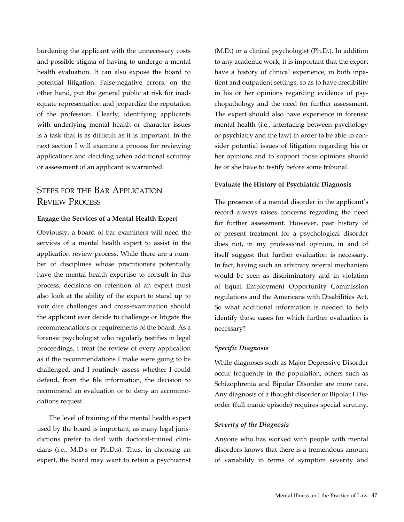burdening the applicant with the unnecessary costs and possible stigma of having to undergo a mental health evaluation. It can also expose the board to potential litigation. False-negative errors, on the other hand, put the general public at risk for inadequate representation and jeopardize the reputation of the profession. Clearly, identifying applicants with underlying mental health or character issues is a task that is as difficult as it is important. In the next section I will examine a process for reviewing applications and deciding when additional scrutiny or assessment of an applicant is warranted.

# STEPS FOR THE BAR APPLICATION Review Process

### **Engage the Services of a Mental Health Expert**

Obviously, a board of bar examiners will need the services of a mental health expert to assist in the application review process. While there are a number of disciplines whose practitioners potentially have the mental health expertise to consult in this process, decisions on retention of an expert must also look at the ability of the expert to stand up to voir dire challenges and cross-examination should the applicant ever decide to challenge or litigate the recommendations or requirements of the board. As a forensic psychologist who regularly testifies in legal proceedings, I treat the review of every application as if the recommendations I make were going to be challenged, and I routinely assess whether I could defend, from the file information, the decision to recommend an evaluation or to deny an accommodations request.

The level of training of the mental health expert used by the board is important, as many legal jurisdictions prefer to deal with doctoral-trained clinicians (i.e., M.D.s or Ph.D.s). Thus, in choosing an expert, the board may want to retain a psychiatrist (M.D.) or a clinical psychologist (Ph.D.). In addition to any academic work, it is important that the expert have a history of clinical experience, in both inpatient and outpatient settings, so as to have credibility in his or her opinions regarding evidence of psychopathology and the need for further assessment. The expert should also have experience in forensic mental health (i.e., interfacing between psychology or psychiatry and the law) in order to be able to consider potential issues of litigation regarding his or her opinions and to support those opinions should he or she have to testify before some tribunal.

### **Evaluate the History of Psychiatric Diagnosis**

The presence of a mental disorder in the applicant's record always raises concerns regarding the need for further assessment. However, past history of or present treatment for a psychological disorder does not, in my professional opinion, in and of itself suggest that further evaluation is necessary. In fact, having such an arbitrary referral mechanism would be seen as discriminatory and in violation of Equal Employment Opportunity Commission regulations and the Americans with Disabilities Act. So what additional information is needed to help identify those cases for which further evaluation is necessary?

### *Specific Diagnosis*

While diagnoses such as Major Depressive Disorder occur frequently in the population, others such as Schizophrenia and Bipolar Disorder are more rare. Any diagnosis of a thought disorder or Bipolar I Disorder (full manic episode) requires special scrutiny.

### *Severity of the Diagnosis*

Anyone who has worked with people with mental disorders knows that there is a tremendous amount of variability in terms of symptom severity and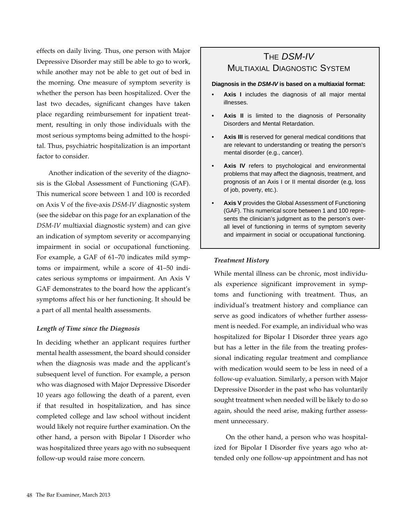effects on daily living. Thus, one person with Major Depressive Disorder may still be able to go to work, while another may not be able to get out of bed in the morning. One measure of symptom severity is whether the person has been hospitalized. Over the last two decades, significant changes have taken place regarding reimbursement for inpatient treatment, resulting in only those individuals with the most serious symptoms being admitted to the hospital. Thus, psychiatric hospitalization is an important factor to consider.

Another indication of the severity of the diagnosis is the Global Assessment of Functioning (GAF). This numerical score between 1 and 100 is recorded on Axis V of the five-axis *DSM-IV* diagnostic system (see the sidebar on this page for an explanation of the *DSM-IV* multiaxial diagnostic system) and can give an indication of symptom severity or accompanying impairment in social or occupational functioning. For example, a GAF of 61–70 indicates mild symptoms or impairment, while a score of 41–50 indicates serious symptoms or impairment. An Axis V GAF demonstrates to the board how the applicant's symptoms affect his or her functioning. It should be a part of all mental health assessments.

### *Length of Time since the Diagnosis*

In deciding whether an applicant requires further mental health assessment, the board should consider when the diagnosis was made and the applicant's subsequent level of function. For example, a person who was diagnosed with Major Depressive Disorder 10 years ago following the death of a parent, even if that resulted in hospitalization, and has since completed college and law school without incident would likely not require further examination. On the other hand, a person with Bipolar I Disorder who was hospitalized three years ago with no subsequent follow-up would raise more concern.

# THE DSM-IV MULTIAXIAL DIAGNOSTIC SYSTEm

### **Diagnosis in the DSM-IV is based on a multiaxial format:**

- **• Axis I** includes the diagnosis of all major mental illnesses.
- **• Axis II** is limited to the diagnosis of Personality Disorders and Mental Retardation.
- **• Axis III** is reserved for general medical conditions that are relevant to understanding or treating the person's mental disorder (e.g., cancer).
- **• Axis IV** refers to psychological and environmental problems that may affect the diagnosis, treatment, and prognosis of an Axis I or II mental disorder (e.g, loss of job, poverty, etc.).
- **• Axis V** provides the Global Assessment of Functioning (GAF). This numerical score between 1 and 100 represents the clinician's judgment as to the person's overall level of functioning in terms of symptom severity and impairment in social or occupational functioning.

### *Treatment History*

While mental illness can be chronic, most individuals experience significant improvement in symptoms and functioning with treatment. Thus, an individual's treatment history and compliance can serve as good indicators of whether further assessment is needed. For example, an individual who was hospitalized for Bipolar I Disorder three years ago but has a letter in the file from the treating professional indicating regular treatment and compliance with medication would seem to be less in need of a follow-up evaluation. Similarly, a person with Major Depressive Disorder in the past who has voluntarily sought treatment when needed will be likely to do so again, should the need arise, making further assessment unnecessary.

On the other hand, a person who was hospitalized for Bipolar I Disorder five years ago who attended only one follow-up appointment and has not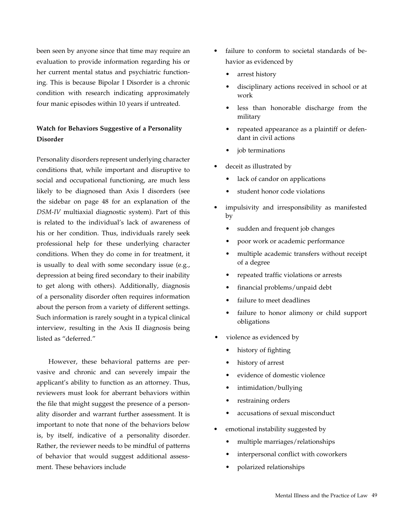been seen by anyone since that time may require an evaluation to provide information regarding his or her current mental status and psychiatric functioning. This is because Bipolar I Disorder is a chronic condition with research indicating approximately four manic episodes within 10 years if untreated.

# **Watch for Behaviors Suggestive of a Personality Disorder**

Personality disorders represent underlying character conditions that, while important and disruptive to social and occupational functioning, are much less likely to be diagnosed than Axis I disorders (see the sidebar on page 48 for an explanation of the *DSM-IV* multiaxial diagnostic system). Part of this is related to the individual's lack of awareness of his or her condition. Thus, individuals rarely seek professional help for these underlying character conditions. When they do come in for treatment, it is usually to deal with some secondary issue (e.g., depression at being fired secondary to their inability to get along with others). Additionally, diagnosis of a personality disorder often requires information about the person from a variety of different settings. Such information is rarely sought in a typical clinical interview, resulting in the Axis II diagnosis being listed as "deferred."

However, these behavioral patterns are pervasive and chronic and can severely impair the applicant's ability to function as an attorney. Thus, reviewers must look for aberrant behaviors within the file that might suggest the presence of a personality disorder and warrant further assessment. It is important to note that none of the behaviors below is, by itself, indicative of a personality disorder. Rather, the reviewer needs to be mindful of patterns of behavior that would suggest additional assessment. These behaviors include

- failure to conform to societal standards of behavior as evidenced by
	- arrest history
	- disciplinary actions received in school or at work
	- less than honorable discharge from the military
	- repeated appearance as a plaintiff or defendant in civil actions
	- job terminations
- deceit as illustrated by
	- lack of candor on applications
	- student honor code violations
- impulsivity and irresponsibility as manifested by
	- sudden and frequent job changes
	- poor work or academic performance
	- multiple academic transfers without receipt of a degree
	- repeated traffic violations or arrests
	- financial problems/unpaid debt
	- failure to meet deadlines
	- failure to honor alimony or child support obligations
- violence as evidenced by
	- history of fighting
	- history of arrest
	- evidence of domestic violence
	- intimidation/bullying
	- restraining orders
	- accusations of sexual misconduct
- emotional instability suggested by
	- multiple marriages/relationships
	- interpersonal conflict with coworkers
	- polarized relationships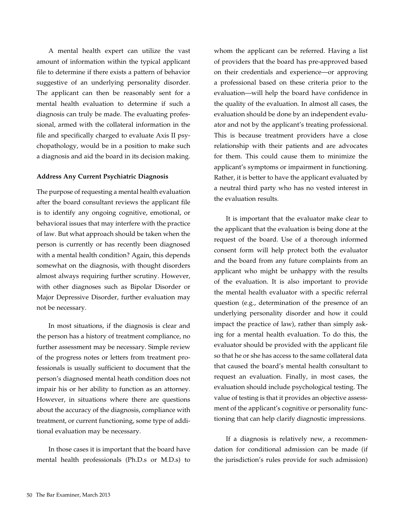A mental health expert can utilize the vast amount of information within the typical applicant file to determine if there exists a pattern of behavior suggestive of an underlying personality disorder. The applicant can then be reasonably sent for a mental health evaluation to determine if such a diagnosis can truly be made. The evaluating professional, armed with the collateral information in the file and specifically charged to evaluate Axis II psychopathology, would be in a position to make such a diagnosis and aid the board in its decision making.

### **Address Any Current Psychiatric Diagnosis**

The purpose of requesting a mental health evaluation after the board consultant reviews the applicant file is to identify any ongoing cognitive, emotional, or behavioral issues that may interfere with the practice of law. But what approach should be taken when the person is currently or has recently been diagnosed with a mental health condition? Again, this depends somewhat on the diagnosis, with thought disorders almost always requiring further scrutiny. However, with other diagnoses such as Bipolar Disorder or Major Depressive Disorder, further evaluation may not be necessary.

In most situations, if the diagnosis is clear and the person has a history of treatment compliance, no further assessment may be necessary. Simple review of the progress notes or letters from treatment professionals is usually sufficient to document that the person's diagnosed mental heath condition does not impair his or her ability to function as an attorney. However, in situations where there are questions about the accuracy of the diagnosis, compliance with treatment, or current functioning, some type of additional evaluation may be necessary.

In those cases it is important that the board have mental health professionals (Ph.D.s or M.D.s) to whom the applicant can be referred. Having a list of providers that the board has pre-approved based on their credentials and experience—or approving a professional based on these criteria prior to the evaluation—will help the board have confidence in the quality of the evaluation. In almost all cases, the evaluation should be done by an independent evaluator and not by the applicant's treating professional. This is because treatment providers have a close relationship with their patients and are advocates for them. This could cause them to minimize the applicant's symptoms or impairment in functioning. Rather, it is better to have the applicant evaluated by a neutral third party who has no vested interest in the evaluation results.

It is important that the evaluator make clear to the applicant that the evaluation is being done at the request of the board. Use of a thorough informed consent form will help protect both the evaluator and the board from any future complaints from an applicant who might be unhappy with the results of the evaluation. It is also important to provide the mental health evaluator with a specific referral question (e.g., determination of the presence of an underlying personality disorder and how it could impact the practice of law), rather than simply asking for a mental health evaluation. To do this, the evaluator should be provided with the applicant file so that he or she has access to the same collateral data that caused the board's mental health consultant to request an evaluation. Finally, in most cases, the evaluation should include psychological testing. The value of testing is that it provides an objective assessment of the applicant's cognitive or personality functioning that can help clarify diagnostic impressions.

If a diagnosis is relatively new, a recommendation for conditional admission can be made (if the jurisdiction's rules provide for such admission)